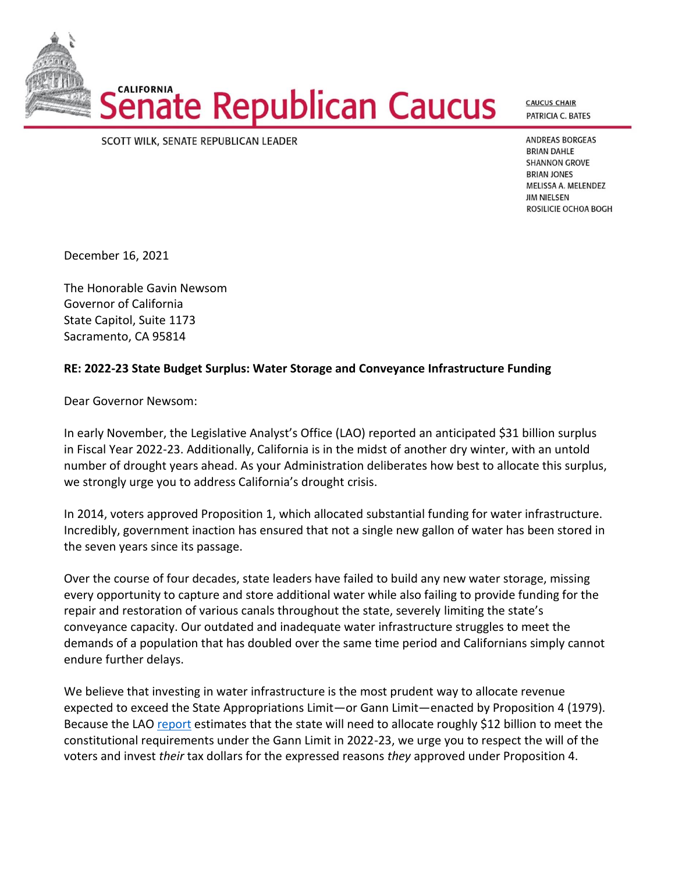

**CAUCUS CHAIR** PATRICIA C. BATES

## SCOTT WILK, SENATE REPUBLICAN LEADER

**ANDREAS BORGEAS BRIAN DAHLE SHANNON GROVE BRIAN JONES** MELISSA A. MELENDEZ **JIM NIELSEN** ROSILICIE OCHOA BOGH

December 16, 2021

The Honorable Gavin Newsom Governor of California State Capitol, Suite 1173 Sacramento, CA 95814

## **RE: 2022-23 State Budget Surplus: Water Storage and Conveyance Infrastructure Funding**

Dear Governor Newsom:

In early November, the Legislative Analyst's Office (LAO) reported an anticipated \$31 billion surplus in Fiscal Year 2022-23. Additionally, California is in the midst of another dry winter, with an untold number of drought years ahead. As your Administration deliberates how best to allocate this surplus, we strongly urge you to address California's drought crisis.

In 2014, voters approved Proposition 1, which allocated substantial funding for water infrastructure. Incredibly, government inaction has ensured that not a single new gallon of water has been stored in the seven years since its passage.

Over the course of four decades, state leaders have failed to build any new water storage, missing every opportunity to capture and store additional water while also failing to provide funding for the repair and restoration of various canals throughout the state, severely limiting the state's conveyance capacity. Our outdated and inadequate water infrastructure struggles to meet the demands of a population that has doubled over the same time period and Californians simply cannot endure further delays.

We believe that investing in water infrastructure is the most prudent way to allocate revenue expected to exceed the State Appropriations Limit—or Gann Limit—enacted by Proposition 4 (1979). Because the LA[O report](https://lao.ca.gov/Publications/Report/4472) estimates that the state will need to allocate roughly \$12 billion to meet the constitutional requirements under the Gann Limit in 2022-23, we urge you to respect the will of the voters and invest *their* tax dollars for the expressed reasons *they* approved under Proposition 4.